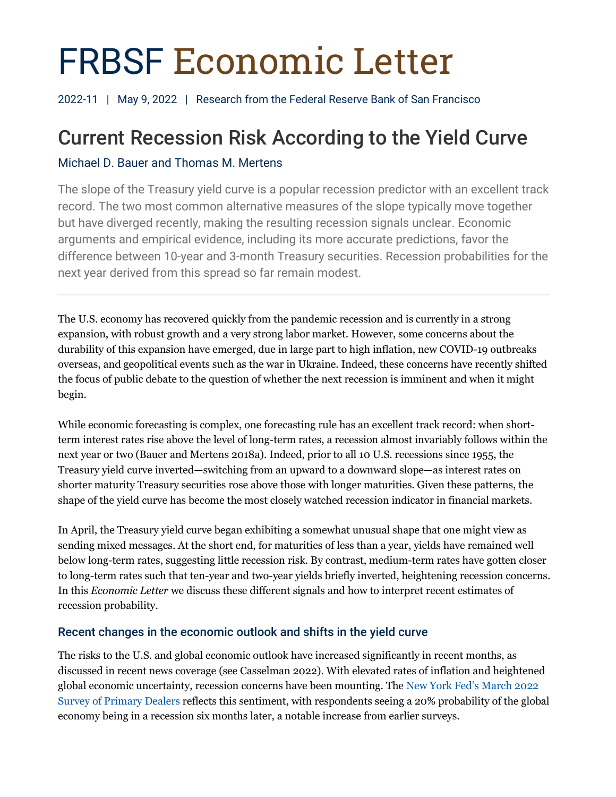# FRBSF Economic Letter

2022-11 | May 9, 2022 | Research from the Federal Reserve Bank of San Francisco

# Current Recession Risk According to the Yield Curve

## Michael D. Bauer and Thomas M. Mertens

The slope of the Treasury yield curve is a popular recession predictor with an excellent track record. The two most common alternative measures of the slope typically move together but have diverged recently, making the resulting recession signals unclear. Economic arguments and empirical evidence, including its more accurate predictions, favor the difference between 10-year and 3-month Treasury securities. Recession probabilities for the next year derived from this spread so far remain modest.

The U.S. economy has recovered quickly from the pandemic recession and is currently in a strong expansion, with robust growth and a very strong labor market. However, some concerns about the durability of this expansion have emerged, due in large part to high inflation, new COVID-19 outbreaks overseas, and geopolitical events such as the war in Ukraine. Indeed, these concerns have recently shifted the focus of public debate to the question of whether the next recession is imminent and when it might begin.

While economic forecasting is complex, one forecasting rule has an excellent track record: when shortterm interest rates rise above the level of long-term rates, a recession almost invariably follows within the next year or two (Bauer and Mertens 2018a). Indeed, prior to all 10 U.S. recessions since 1955, the Treasury yield curve inverted—switching from an upward to a downward slope—as interest rates on shorter maturity Treasury securities rose above those with longer maturities. Given these patterns, the shape of the yield curve has become the most closely watched recession indicator in financial markets.

In April, the Treasury yield curve began exhibiting a somewhat unusual shape that one might view as sending mixed messages. At the short end, for maturities of less than a year, yields have remained well below long-term rates, suggesting little recession risk. By contrast, medium-term rates have gotten closer to long-term rates such that ten-year and two-year yields briefly inverted, heightening recession concerns. In this *Economic Letter* we discuss these different signals and how to interpret recent estimates of recession probability.

### Recent changes in the economic outlook and shifts in the yield curve

The risks to the U.S. and global economic outlook have increased significantly in recent months, as discussed in recent news coverage (see Casselman 2022). With elevated rates of inflation and heightened global economic uncertainty, recession concerns have been mounting. The [New York Fed's March 2022](https://www.newyorkfed.org/markets/primarydealer_survey_questions)  [Survey of Primary Dealers](https://www.newyorkfed.org/markets/primarydealer_survey_questions) reflects this sentiment, with respondents seeing a 20% probability of the global economy being in a recession six months later, a notable increase from earlier surveys.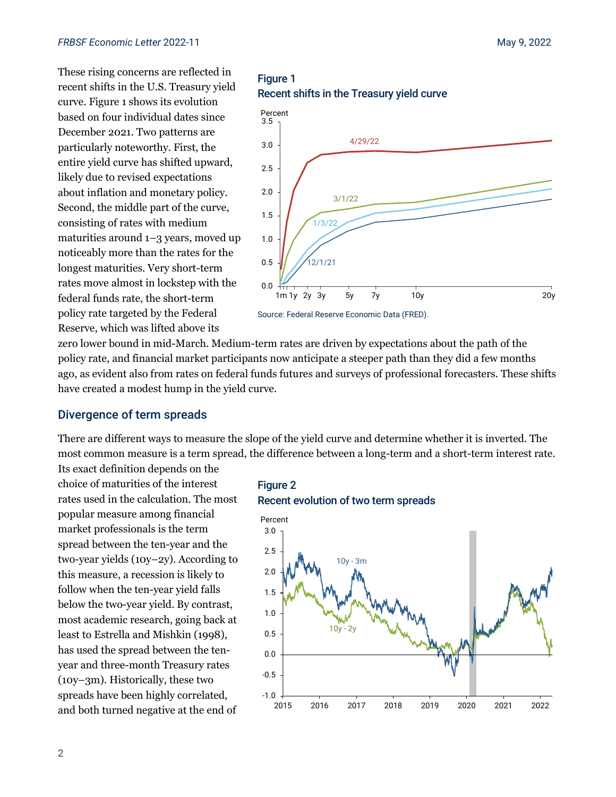These rising concerns are reflected in recent shifts in the U.S. Treasury yield curve. Figure 1 shows its evolution based on four individual dates since December 2021. Two patterns are particularly noteworthy. First, the entire yield curve has shifted upward, likely due to revised expectations about inflation and monetary policy. Second, the middle part of the curve, consisting of rates with medium maturities around 1–3 years, moved up noticeably more than the rates for the longest maturities. Very short-term rates move almost in lockstep with the federal funds rate, the short-term policy rate targeted by the Federal Reserve, which was lifted above its

Figure 1 Recent shifts in the Treasury yield curve



Source: Federal Reserve Economic Data (FRED).

zero lower bound in mid-March. Medium-term rates are driven by expectations about the path of the policy rate, and financial market participants now anticipate a steeper path than they did a few months ago, as evident also from rates on federal funds futures and surveys of professional forecasters. These shifts have created a modest hump in the yield curve.

#### Divergence of term spreads

There are different ways to measure the slope of the yield curve and determine whether it is inverted. The most common measure is a term spread, the difference between a long-term and a short-term interest rate.

Its exact definition depends on the choice of maturities of the interest rates used in the calculation. The most popular measure among financial market professionals is the term spread between the ten-year and the two-year yields (10y–2y). According to this measure, a recession is likely to follow when the ten-year yield falls below the two-year yield. By contrast, most academic research, going back at least to Estrella and Mishkin (1998), has used the spread between the tenyear and three-month Treasury rates (10y–3m). Historically, these two spreads have been highly correlated, and both turned negative at the end of



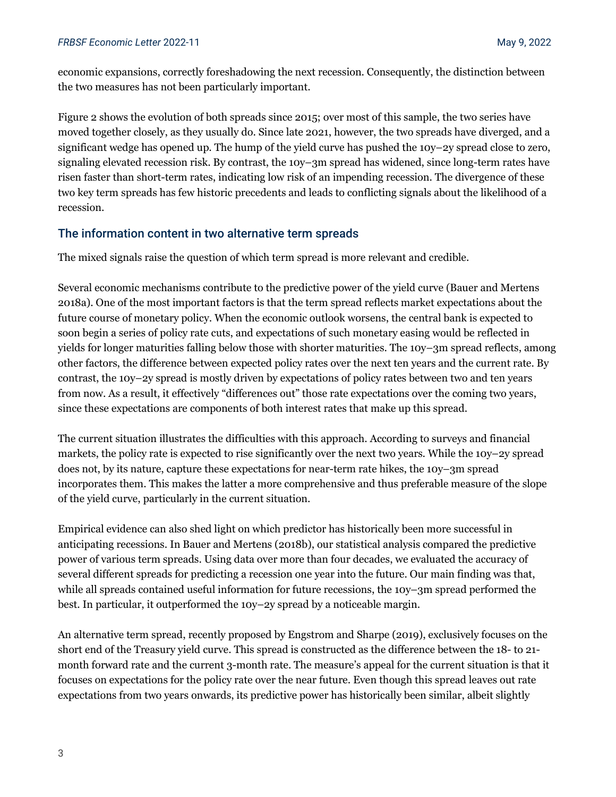economic expansions, correctly foreshadowing the next recession. Consequently, the distinction between the two measures has not been particularly important.

Figure 2 shows the evolution of both spreads since 2015; over most of this sample, the two series have moved together closely, as they usually do. Since late 2021, however, the two spreads have diverged, and a significant wedge has opened up. The hump of the yield curve has pushed the 10y–2y spread close to zero, signaling elevated recession risk. By contrast, the 10y–3m spread has widened, since long-term rates have risen faster than short-term rates, indicating low risk of an impending recession. The divergence of these two key term spreads has few historic precedents and leads to conflicting signals about the likelihood of a recession.

#### The information content in two alternative term spreads

The mixed signals raise the question of which term spread is more relevant and credible.

Several economic mechanisms contribute to the predictive power of the yield curve (Bauer and Mertens 2018a). One of the most important factors is that the term spread reflects market expectations about the future course of monetary policy. When the economic outlook worsens, the central bank is expected to soon begin a series of policy rate cuts, and expectations of such monetary easing would be reflected in yields for longer maturities falling below those with shorter maturities. The 10y–3m spread reflects, among other factors, the difference between expected policy rates over the next ten years and the current rate. By contrast, the 10y–2y spread is mostly driven by expectations of policy rates between two and ten years from now. As a result, it effectively "differences out" those rate expectations over the coming two years, since these expectations are components of both interest rates that make up this spread.

The current situation illustrates the difficulties with this approach. According to surveys and financial markets, the policy rate is expected to rise significantly over the next two years. While the 10y–2y spread does not, by its nature, capture these expectations for near-term rate hikes, the 10y–3m spread incorporates them. This makes the latter a more comprehensive and thus preferable measure of the slope of the yield curve, particularly in the current situation.

Empirical evidence can also shed light on which predictor has historically been more successful in anticipating recessions. In Bauer and Mertens (2018b), our statistical analysis compared the predictive power of various term spreads. Using data over more than four decades, we evaluated the accuracy of several different spreads for predicting a recession one year into the future. Our main finding was that, while all spreads contained useful information for future recessions, the 10y–3m spread performed the best. In particular, it outperformed the 10y–2y spread by a noticeable margin.

An alternative term spread, recently proposed by Engstrom and Sharpe (2019), exclusively focuses on the short end of the Treasury yield curve. This spread is constructed as the difference between the 18- to 21 month forward rate and the current 3-month rate. The measure's appeal for the current situation is that it focuses on expectations for the policy rate over the near future. Even though this spread leaves out rate expectations from two years onwards, its predictive power has historically been similar, albeit slightly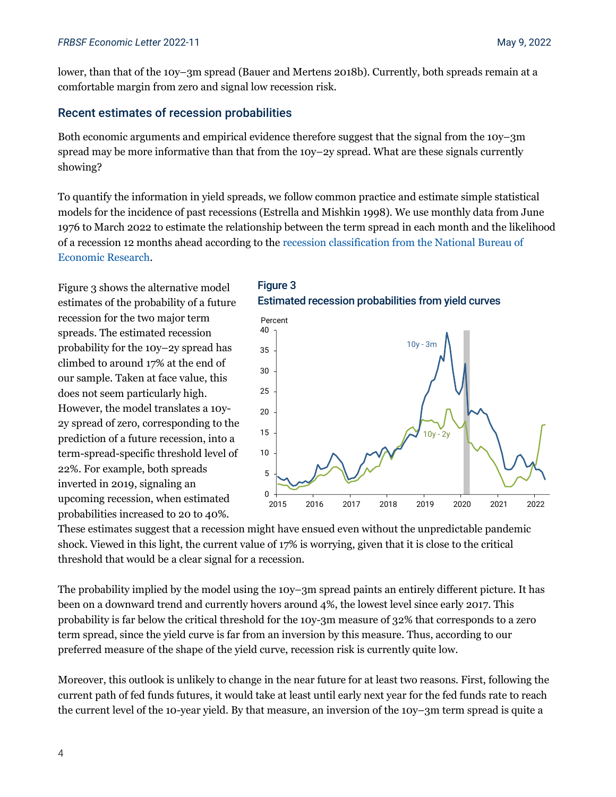lower, than that of the 10y–3m spread (Bauer and Mertens 2018b). Currently, both spreads remain at a comfortable margin from zero and signal low recession risk.

#### Recent estimates of recession probabilities

Both economic arguments and empirical evidence therefore suggest that the signal from the 10y–3m spread may be more informative than that from the 10y–2y spread. What are these signals currently showing?

To quantify the information in yield spreads, we follow common practice and estimate simple statistical models for the incidence of past recessions (Estrella and Mishkin 1998). We use monthly data from June 1976 to March 2022 to estimate the relationship between the term spread in each month and the likelihood of a recession 12 months ahead according to the [recession classification from the National Bureau of](https://www.nber.org/research/data/us-business-cycle-expansions-and-contractions)  [Economic Research.](https://www.nber.org/research/data/us-business-cycle-expansions-and-contractions)

Figure 3 shows the alternative model estimates of the probability of a future recession for the two major term spreads. The estimated recession probability for the 10y–2y spread has climbed to around 17% at the end of our sample. Taken at face value, this does not seem particularly high. However, the model translates a 10y-2y spread of zero, corresponding to the prediction of a future recession, into a term-spread-specific threshold level of 22%. For example, both spreads inverted in 2019, signaling an upcoming recession, when estimated probabilities increased to 20 to 40%.





These estimates suggest that a recession might have ensued even without the unpredictable pandemic shock. Viewed in this light, the current value of 17% is worrying, given that it is close to the critical threshold that would be a clear signal for a recession.

The probability implied by the model using the 10y–3m spread paints an entirely different picture. It has been on a downward trend and currently hovers around 4%, the lowest level since early 2017. This probability is far below the critical threshold for the 10y-3m measure of 32% that corresponds to a zero term spread, since the yield curve is far from an inversion by this measure. Thus, according to our preferred measure of the shape of the yield curve, recession risk is currently quite low.

Moreover, this outlook is unlikely to change in the near future for at least two reasons. First, following the current path of fed funds futures, it would take at least until early next year for the fed funds rate to reach the current level of the 10-year yield. By that measure, an inversion of the 10y–3m term spread is quite a